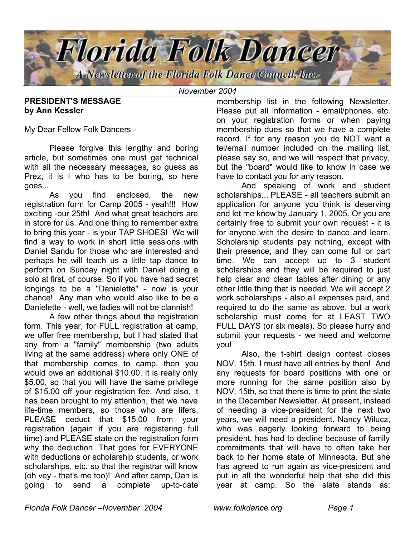

*November 2004*

#### **PRESIDENT'S MESSAGE by Ann Kessler**

My Dear Fellow Folk Dancers -

 Please forgive this lengthy and boring article, but sometimes one must get technical with all the necessary messages, so guess as Prez, it is I who has to be boring, so here goes...

 As you find enclosed, the new registration form for Camp 2005 - yeah!!! How exciting -our 25th! And what great teachers are in store for us. And one thing to remember extra to bring this year - is your TAP SHOES! We will find a way to work in short little sessions with Daniel Sandu for those who are interested and perhaps he will teach us a little tap dance to perform on Sunday night with Daniel doing a solo at first, of course. So if you have had secret longings to be a "Danielette" - now is your chance! Any man who would also like to be a Danielette - well, we ladies will not be clannish!

 A few other things about the registration form. This year, for FULL registration at camp, we offer free membership, but I had stated that any from a "family" membership (two adults living at the same address) where only ONE of that membership comes to camp, then you would owe an additional \$10.00. It is really only \$5.00, so that you will have the same privilege of \$15.00 off your registration fee. And also, it has been brought to my attention, that we have life-time members, so those who are lifers, PLEASE deduct that \$15.00 from your registration (again if you are registering full time) and PLEASE state on the registration form why the deduction. That goes for EVERYONE with deductions or scholarship students, or work scholarships, etc. so that the registrar will know (oh vey - that's me too)! And after camp, Dan is going to send a complete up-to-date

membership list in the following Newsletter. Please put all information - email/phones, etc. on your registration forms or when paying membership dues so that we have a complete record. If for any reason you do NOT want a tel/email number included on the mailing list, please say so, and we will respect that privacy, but the "board" would like to know in case we have to contact you for any reason.

 And speaking of work and student scholarships... PLEASE - all teachers submit an application for anyone you think is deserving and let me know by January 1, 2005. Or you are certainly free to submit your own request - it is for anyone with the desire to dance and learn. Scholarship students pay nothing, except with their presence, and they can come full or part time. We can accept up to 3 student scholarships and they will be required to just help clear and clean tables after dining or any other little thing that is needed. We will accept 2 work scholarships - also all expenses paid, and required to do the same as above, but a work scholarship must come for at LEAST TWO FULL DAYS (or six meals). So please hurry and submit your requests - we need and welcome you!

 Also, the t-shirt design contest closes NOV. 15th. I must have all entries by then! And any requests for board positions with one or more running for the same position also by NOV. 15th, so that there is time to print the slate in the December Newsletter. At present, instead of needing a vice-president for the next two years, we will need a president. Nancy Wilucz, who was eagerly looking forward to being president, has had to decline because of family commitments that will have to often take her back to her home state of Minnesota. But she has agreed to run again as vice-president and put in all the wonderful help that she did this year at camp. So the slate stands as: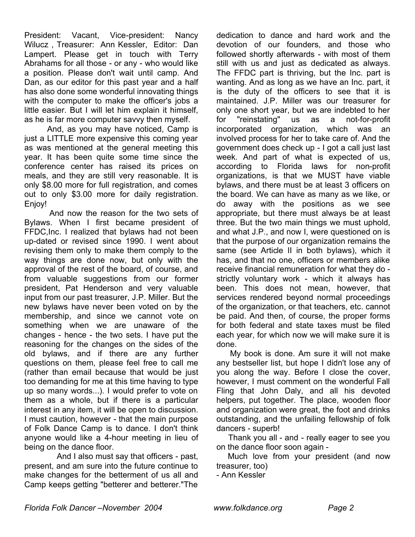President: Vacant, Vice-president: Nancy Wilucz , Treasurer: Ann Kessler, Editor: Dan Lampert. Please get in touch with Terry Abrahams for all those - or any - who would like a position. Please don't wait until camp. And Dan, as our editor for this past year and a half has also done some wonderful innovating things with the computer to make the officer's jobs a little easier. But I will let him explain it himself, as he is far more computer savvy then myself.

 And, as you may have noticed, Camp is just a LITTLE more expensive this coming year as was mentioned at the general meeting this year. It has been quite some time since the conference center has raised its prices on meals, and they are still very reasonable. It is only \$8.00 more for full registration, and comes out to only \$3.00 more for daily registration. Enjoy!

 And now the reason for the two sets of Bylaws. When I first became president of FFDC,Inc. I realized that bylaws had not been up-dated or revised since 1990. I went about revising them only to make them comply to the way things are done now, but only with the approval of the rest of the board, of course, and from valuable suggestions from our former president, Pat Henderson and very valuable input from our past treasurer, J.P. Miller. But the new bylaws have never been voted on by the membership, and since we cannot vote on something when we are unaware of the changes - hence - the two sets. I have put the reasoning for the changes on the sides of the old bylaws, and if there are any further questions on them, please feel free to call me (rather than email because that would be just too demanding for me at this time having to type up so many words...). I would prefer to vote on them as a whole, but if there is a particular interest in any item, it will be open to discussion. I must caution, however - that the main purpose of Folk Dance Camp is to dance. I don't think anyone would like a 4-hour meeting in lieu of being on the dance floor.

 And I also must say that officers - past, present, and am sure into the future continue to make changes for the betterment of us all and Camp keeps getting "betterer and betterer."The dedication to dance and hard work and the devotion of our founders, and those who followed shortly afterwards - with most of them still with us and just as dedicated as always. The FFDC part is thriving, but the Inc. part is wanting. And as long as we have an Inc. part, it is the duty of the officers to see that it is maintained. J.P. Miller was our treasurer for only one short year, but we are indebted to her for "reinstating" us as a not-for-profit incorporated organization, which was an involved process for her to take care of. And the government does check up - I got a call just last week. And part of what is expected of us, according to Florida laws for non-profit organizations, is that we MUST have viable bylaws, and there must be at least 3 officers on the board. We can have as many as we like, or do away with the positions as we see appropriate, but there must always be at least three. But the two main things we must uphold, and what J.P., and now I, were questioned on is that the purpose of our organization remains the same (see Article II in both bylaws), which it has, and that no one, officers or members alike receive financial remuneration for what they do strictly voluntary work - which it always has been. This does not mean, however, that services rendered beyond normal proceedings of the organization, or that teachers, etc. cannot be paid. And then, of course, the proper forms for both federal and state taxes must be filed each year, for which now we will make sure it is done.

 My book is done. Am sure it will not make any bestseller list, but hope I didn't lose any of you along the way. Before I close the cover, however, I must comment on the wonderful Fall Fling that John Daly, and all his devoted helpers, put together. The place, wooden floor and organization were great, the foot and drinks outstanding, and the unfailing fellowship of folk dancers - superb!

 Thank you all - and - really eager to see you on the dance floor soon again -

 Much love from your president (and now treasurer, too)

- Ann Kessler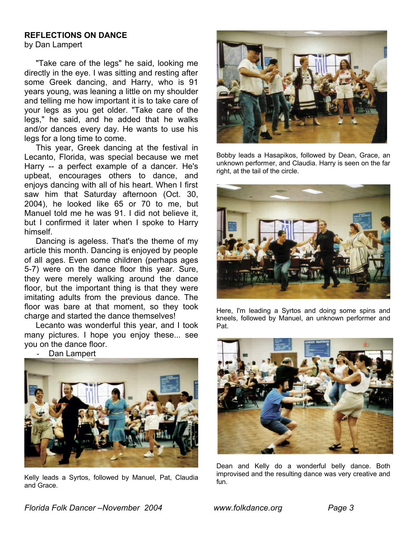# **REFLECTIONS ON DANCE**

by Dan Lampert

 "Take care of the legs" he said, looking me directly in the eye. I was sitting and resting after some Greek dancing, and Harry, who is 91 years young, was leaning a little on my shoulder and telling me how important it is to take care of your legs as you get older. "Take care of the legs," he said, and he added that he walks and/or dances every day. He wants to use his legs for a long time to come.

 This year, Greek dancing at the festival in Lecanto, Florida, was special because we met Harry -- a perfect example of a dancer. He's upbeat, encourages others to dance, and enjoys dancing with all of his heart. When I first saw him that Saturday afternoon (Oct. 30, 2004), he looked like 65 or 70 to me, but Manuel told me he was 91. I did not believe it, but I confirmed it later when I spoke to Harry himself.

 Dancing is ageless. That's the theme of my article this month. Dancing is enjoyed by people of all ages. Even some children (perhaps ages 5-7) were on the dance floor this year. Sure, they were merely walking around the dance floor, but the important thing is that they were imitating adults from the previous dance. The floor was bare at that moment, so they took charge and started the dance themselves!

 Lecanto was wonderful this year, and I took many pictures. I hope you enjoy these... see you on the dance floor.

Dan Lampert



Kelly leads a Syrtos, followed by Manuel, Pat, Claudia and Grace.



Bobby leads a Hasapikos, followed by Dean, Grace, an unknown performer, and Claudia. Harry is seen on the far right, at the tail of the circle.



Here, I'm leading a Syrtos and doing some spins and kneels, followed by Manuel, an unknown performer and Pat.



Dean and Kelly do a wonderful belly dance. Both improvised and the resulting dance was very creative and fun.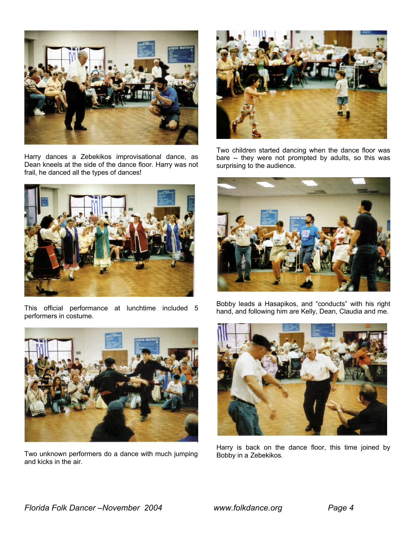

Harry dances a Zebekikos improvisational dance, as Dean kneels at the side of the dance floor. Harry was not frail, he danced all the types of dances!



This official performance at lunchtime included 5 performers in costume.



Two unknown performers do a dance with much jumping and kicks in the air.



Two children started dancing when the dance floor was bare -- they were not prompted by adults, so this was surprising to the audience.



Bobby leads a Hasapikos, and "conducts" with his right hand, and following him are Kelly, Dean, Claudia and me.



Harry is back on the dance floor, this time joined by Bobby in a Zebekikos.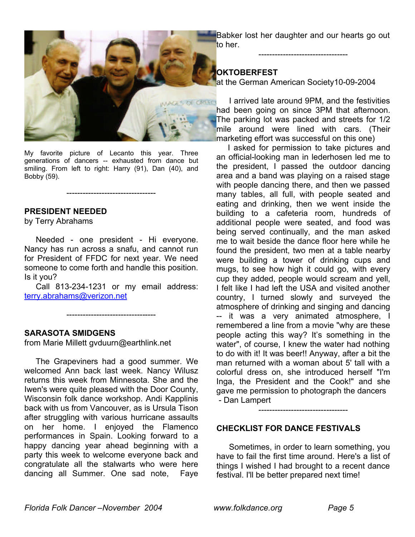Babker lost her daughter and our hearts go out to her.

---------------------------------

**OKTOBERFEST** at the German American Society10-09-2004

My favorite picture of Lecanto this year. Three

generations of dancers -- exhausted from dance but smiling. From left to right: Harry (91), Dan (40), and Bobby (59).

---------------------------------

#### **PRESIDENT NEEDED**

by Terry Abrahams

Needed - one president - Hi everyone. Nancy has run across a snafu, and cannot run for President of FFDC for next year. We need someone to come forth and handle this position. Is it you?

 Call 813-234-1231 or my email address: terry.abrahams@verizon.net

---------------------------------

#### **SARASOTA SMIDGENS**

from Marie Millett gvduurn@earthlink.net

 The Grapeviners had a good summer. We welcomed Ann back last week. Nancy Wilusz returns this week from Minnesota. She and the Iwen's were quite pleased with the Door County, Wisconsin folk dance workshop. Andi Kapplinis back with us from Vancouver, as is Ursula Tison after struggling with various hurricane assaults on her home. I enjoyed the Flamenco performances in Spain. Looking forward to a happy dancing year ahead beginning with a party this week to welcome everyone back and congratulate all the stalwarts who were here dancing all Summer. One sad note, Faye

**I arrived late around 9PM, and the festivities** had been going on since 3PM that afternoon. The parking lot was packed and streets for 1/2 mile around were lined with cars. (Their marketing effort was successful on this one)

 I asked for permission to take pictures and an official-looking man in lederhosen led me to the president, I passed the outdoor dancing area and a band was playing on a raised stage with people dancing there, and then we passed many tables, all full, with people seated and eating and drinking, then we went inside the building to a cafeteria room, hundreds of additional people were seated, and food was being served continually, and the man asked me to wait beside the dance floor here while he found the president, two men at a table nearby were building a tower of drinking cups and mugs, to see how high it could go, with every cup they added, people would scream and yell, I felt like I had left the USA and visited another country, I turned slowly and surveyed the atmosphere of drinking and singing and dancing -- it was a very animated atmosphere, I remembered a line from a movie "why are these people acting this way? It's something in the water", of course, I knew the water had nothing to do with it! It was beer!! Anyway, after a bit the man returned with a woman about 5' tall with a colorful dress on, she introduced herself "I'm Inga, the President and the Cook!" and she gave me permission to photograph the dancers - Dan Lampert

---------------------------------

#### **CHECKLIST FOR DANCE FESTIVALS**

 Sometimes, in order to learn something, you have to fail the first time around. Here's a list of things I wished I had brought to a recent dance festival. I'll be better prepared next time!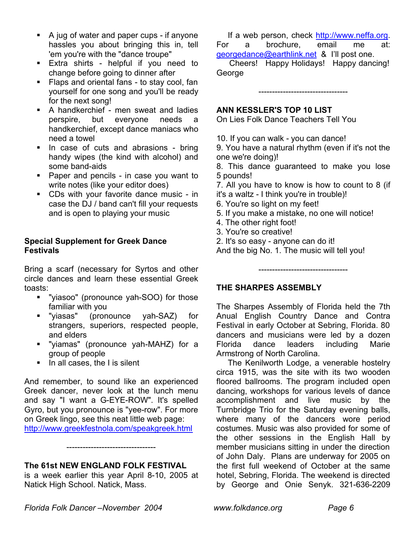- $\blacksquare$  A jug of water and paper cups if anyone hassles you about bringing this in, tell 'em you're with the "dance troupe"
- **Extra shirts helpful if you need to** change before going to dinner after
- ß Flaps and oriental fans to stay cool, fan yourself for one song and you'll be ready for the next song!
- ß A handkerchief men sweat and ladies perspire, but everyone needs a handkerchief, except dance maniacs who need a towel
- **In case of cuts and abrasions bring** handy wipes (the kind with alcohol) and some band-aids
- **•** Paper and pencils in case you want to write notes (like your editor does)
- **EXECO CDS with your favorite dance music in** case the DJ / band can't fill your requests and is open to playing your music

### **Special Supplement for Greek Dance Festivals**

Bring a scarf (necessary for Syrtos and other circle dances and learn these essential Greek toasts:

- ß "yiasoo" (pronounce yah-SOO) for those familiar with you
- ß "yiasas" (pronounce yah-SAZ) for strangers, superiors, respected people, and elders
- ß "yiamas" (pronounce yah-MAHZ) for a group of people
- $\blacksquare$  In all cases, the I is silent

And remember, to sound like an experienced Greek dancer, never look at the lunch menu and say "I want a G-EYE-ROW". It's spelled Gyro, but you pronounce is "yee-row". For more on Greek lingo, see this neat little web page: http://www.greekfestnola.com/speakgreek.html

# **The 61st NEW ENGLAND FOLK FESTIVAL**

is a week earlier this year April 8-10, 2005 at Natick High School. Natick, Mass.

---------------------------------

 If a web person, check http://www.neffa.org. For a brochure, email me at: georgedance@earthlink.net & I'll post one.

 Cheers! Happy Holidays! Happy dancing! George

---------------------------------

# **ANN KESSLER'S TOP 10 LIST**

On Lies Folk Dance Teachers Tell You

10. If you can walk - you can dance!

9. You have a natural rhythm (even if it's not the one we're doing)!

8. This dance guaranteed to make you lose 5 pounds!

7. All you have to know is how to count to 8 (if it's a waltz - I think you're in trouble)!

- 6. You're so light on my feet!
- 5. If you make a mistake, no one will notice!
- 4. The other right foot!
- 3. You're so creative!
- 2. It's so easy anyone can do it!

And the big No. 1. The music will tell you!

# **THE SHARPES ASSEMBLY**

The Sharpes Assembly of Florida held the 7th Anual English Country Dance and Contra Festival in early October at Sebring, Florida. 80 dancers and musicians were led by a dozen Florida dance leaders including Marie Armstrong of North Carolina.

---------------------------------

 The Kenilworth Lodge, a venerable hostelry circa 1915, was the site with its two wooden floored ballrooms. The program included open dancing, workshops for various levels of dance accomplishment and live music by the Turnbridge Trio for the Saturday evening balls, where many of the dancers wore period costumes. Music was also provided for some of the other sessions in the English Hall by member musicians sitting in under the direction of John Daly. Plans are underway for 2005 on the first full weekend of October at the same hotel, Sebring, Florida. The weekend is directed by George and Onie Senyk. 321-636-2209